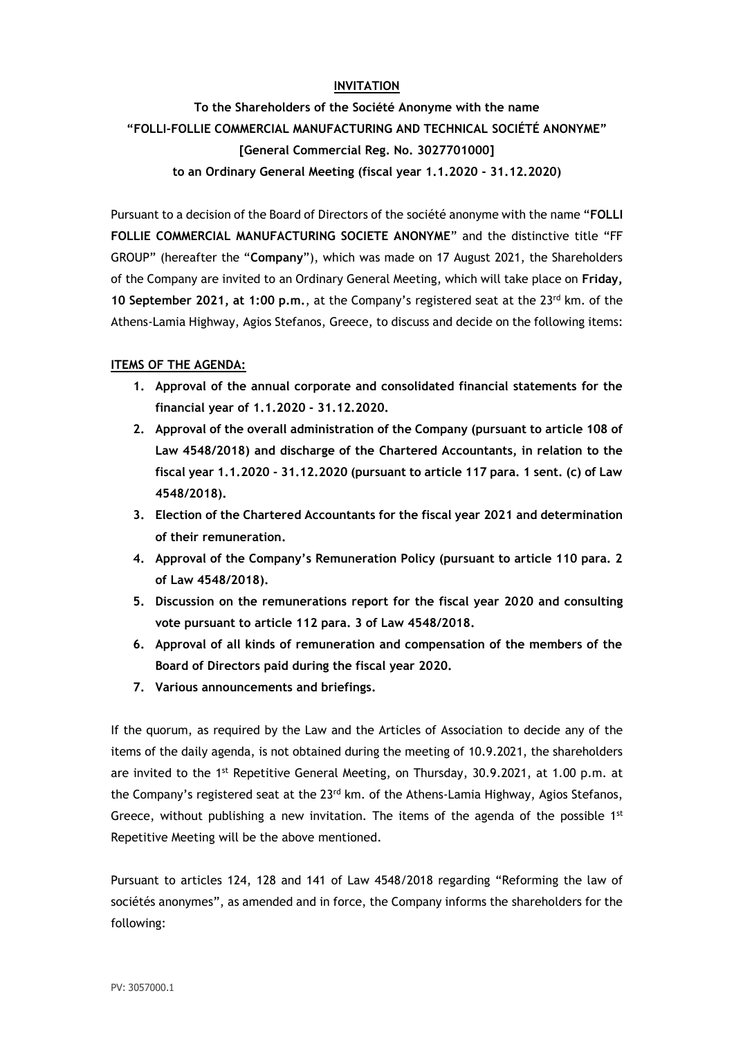# **INVITATION**

**To the Shareholders of the Société Anonyme with the name "FOLLI-FOLLIE COMMERCIAL MANUFACTURING AND TECHNICAL SOCIÉTÉ ANONYME" [General Commercial Reg. No. 3027701000] to an Ordinary General Meeting (fiscal year 1.1.2020 - 31.12.2020)**

Pursuant to a decision of the Board of Directors of the société anonyme with the name "**FOLLI FOLLIE COMMERCIAL MANUFACTURING SOCIETE ANONYME**" and the distinctive title "FF GROUP" (hereafter the "**Company**"), which was made on 17 August 2021, the Shareholders of the Company are invited to an Ordinary General Meeting, which will take place on **Friday,**  10 September 2021, at 1:00 p.m., at the Company's registered seat at the 23<sup>rd</sup> km. of the Athens-Lamia Highway, Agios Stefanos, Greece, to discuss and decide on the following items:

## **ITEMS OF THE AGENDA:**

- **1. Approval of the annual corporate and consolidated financial statements for the financial year of 1.1.2020 - 31.12.2020.**
- **2. Approval of the overall administration of the Company (pursuant to article 108 of Law 4548/2018) and discharge of the Chartered Accountants, in relation to the fiscal year 1.1.2020 - 31.12.2020 (pursuant to article 117 para. 1 sent. (c) of Law 4548/2018).**
- **3. Election of the Chartered Accountants for the fiscal year 2021 and determination of their remuneration.**
- **4. Approval of the Company's Remuneration Policy (pursuant to article 110 para. 2 of Law 4548/2018).**
- **5. Discussion on the remunerations report for the fiscal year 2020 and consulting vote pursuant to article 112 para. 3 of Law 4548/2018.**
- **6. Approval of all kinds of remuneration and compensation of the members of the Board of Directors paid during the fiscal year 2020.**
- **7. Various announcements and briefings.**

If the quorum, as required by the Law and the Articles of Association to decide any of the items of the daily agenda, is not obtained during the meeting of 10.9.2021, the shareholders are invited to the 1<sup>st</sup> Repetitive General Meeting, on Thursday, 30.9.2021, at 1.00 p.m. at the Company's registered seat at the  $23<sup>rd</sup>$  km. of the Athens-Lamia Highway, Agios Stefanos, Greece, without publishing a new invitation. The items of the agenda of the possible  $1^{st}$ Repetitive Meeting will be the above mentioned.

Pursuant to articles 124, 128 and 141 of Law 4548/2018 regarding "Reforming the law of sociétés anonymes", as amended and in force, the Company informs the shareholders for the following: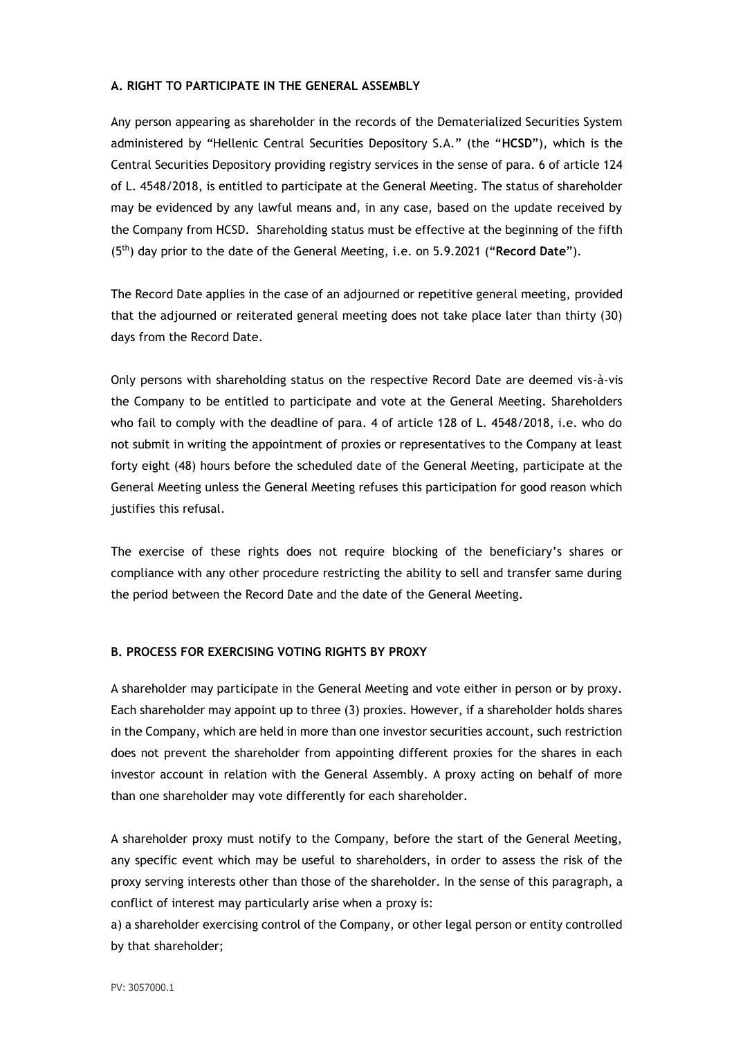### **A. RIGHT TO PARTICIPATE IN THE GENERAL ASSEMBLY**

Any person appearing as shareholder in the records of the Dematerialized Securities System administered by "Hellenic Central Securities Depository S.A." (the "**HCSD**"), which is the Central Securities Depository providing registry services in the sense of para. 6 of article 124 of L. 4548/2018, is entitled to participate at the General Meeting. The status of shareholder may be evidenced by any lawful means and, in any case, based on the update received by the Company from HCSD. Shareholding status must be effective at the beginning of the fifth (5th) day prior to the date of the General Meeting, i.e. on 5.9.2021 ("**Record Date**").

The Record Date applies in the case of an adjourned or repetitive general meeting, provided that the adjourned or reiterated general meeting does not take place later than thirty (30) days from the Record Date.

Only persons with shareholding status on the respective Record Date are deemed vis-à-vis the Company to be entitled to participate and vote at the General Meeting. Shareholders who fail to comply with the deadline of para. 4 of article 128 of L. 4548/2018, i.e. who do not submit in writing the appointment of proxies or representatives to the Company at least forty eight (48) hours before the scheduled date of the General Meeting, participate at the General Meeting unless the General Meeting refuses this participation for good reason which justifies this refusal.

The exercise of these rights does not require blocking of the beneficiary's shares or compliance with any other procedure restricting the ability to sell and transfer same during the period between the Record Date and the date of the General Meeting.

#### **B. PROCESS FOR EXERCISING VOTING RIGHTS BY PROXY**

A shareholder may participate in the General Meeting and vote either in person or by proxy. Each shareholder may appoint up to three (3) proxies. However, if a shareholder holds shares in the Company, which are held in more than one investor securities account, such restriction does not prevent the shareholder from appointing different proxies for the shares in each investor account in relation with the General Assembly. A proxy acting on behalf of more than one shareholder may vote differently for each shareholder.

A shareholder proxy must notify to the Company, before the start of the General Meeting, any specific event which may be useful to shareholders, in order to assess the risk of the proxy serving interests other than those of the shareholder. In the sense of this paragraph, a conflict of interest may particularly arise when a proxy is:

a) a shareholder exercising control of the Company, or other legal person or entity controlled by that shareholder;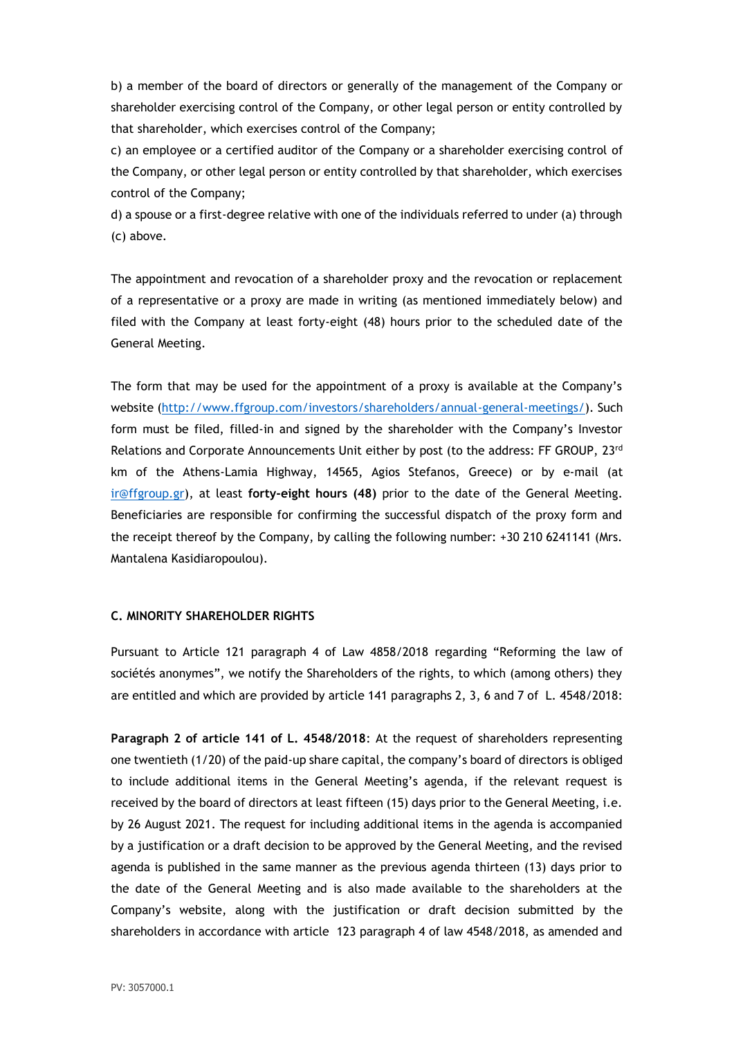b) a member of the board of directors or generally of the management of the Company or shareholder exercising control of the Company, or other legal person or entity controlled by that shareholder, which exercises control of the Company;

c) an employee or a certified auditor of the Company or a shareholder exercising control of the Company, or other legal person or entity controlled by that shareholder, which exercises control of the Company;

d) a spouse or a first-degree relative with one of the individuals referred to under (a) through (c) above.

The appointment and revocation of a shareholder proxy and the revocation or replacement of a representative or a proxy are made in writing (as mentioned immediately below) and filed with the Company at least forty-eight (48) hours prior to the scheduled date of the General Meeting.

The form that may be used for the appointment of a proxy is available at the Company's website [\(http://www.ffgroup.com/investors/shareholders/annual-general-meetings/\)](http://www.ffgroup.com/investors/shareholders/annual-general-meetings/). Such form must be filed, filled-in and signed by the shareholder with the Company's Investor Relations and Corporate Announcements Unit either by post (to the address: FF GROUP, 23rd km of the Athens-Lamia Highway, 14565, Agios Stefanos, Greece) or by e-mail (at [ir@ffgroup.gr\)](mailto:ir@ffgroup.gr), at least **forty-eight hours (48)** prior to the date of the General Meeting. Beneficiaries are responsible for confirming the successful dispatch of the proxy form and the receipt thereof by the Company, by calling the following number: +30 210 6241141 (Mrs. Mantalena Kasidiaropoulou).

## **C. MINORITY SHAREHOLDER RIGHTS**

Pursuant to Article 121 paragraph 4 of Law 4858/2018 regarding "Reforming the law of sociétés anonymes", we notify the Shareholders of the rights, to which (among others) they are entitled and which are provided by article 141 paragraphs 2, 3, 6 and 7 of L. 4548/2018:

**Paragraph 2 of article 141 of L. 4548/2018**: At the request of shareholders representing one twentieth (1/20) of the paid-up share capital, the company's board of directors is obliged to include additional items in the General Meeting's agenda, if the relevant request is received by the board of directors at least fifteen (15) days prior to the General Meeting, i.e. by 26 August 2021. The request for including additional items in the agenda is accompanied by a justification or a draft decision to be approved by the General Meeting, and the revised agenda is published in the same manner as the previous agenda thirteen (13) days prior to the date of the General Meeting and is also made available to the shareholders at the Company's website, along with the justification or draft decision submitted by the shareholders in accordance with article 123 paragraph 4 of law 4548/2018, as amended and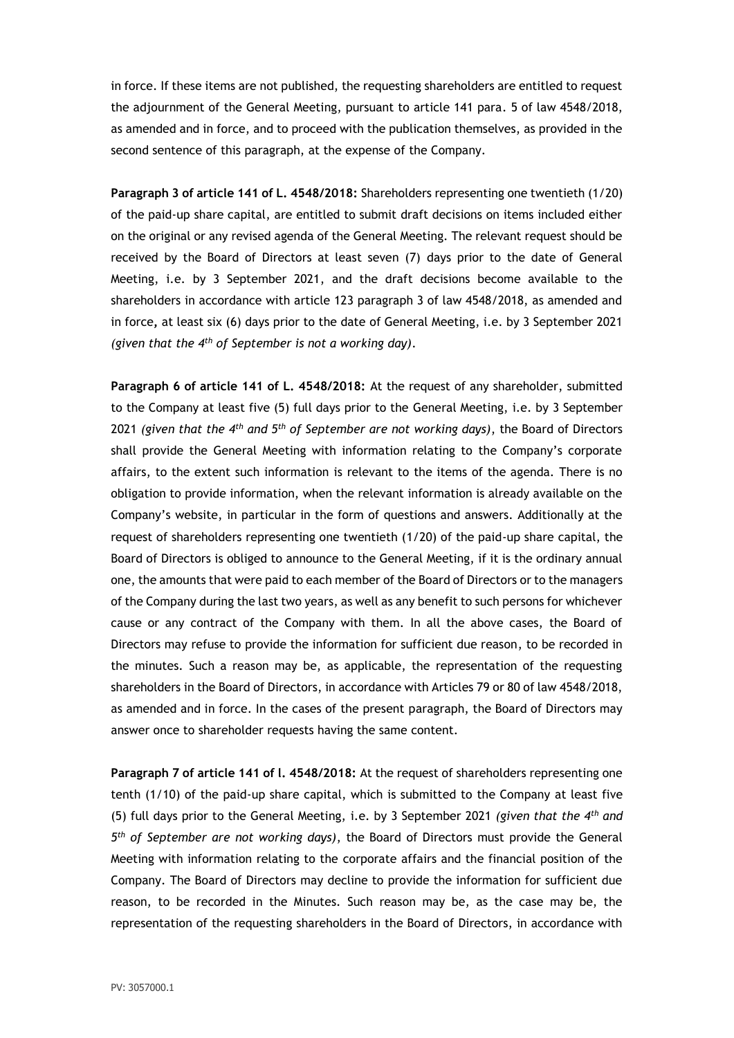in force. If these items are not published, the requesting shareholders are entitled to request the adjournment of the General Meeting, pursuant to article 141 para. 5 of law 4548/2018, as amended and in force, and to proceed with the publication themselves, as provided in the second sentence of this paragraph, at the expense of the Company.

**Paragraph 3 of article 141 of L. 4548/2018:** Shareholders representing one twentieth (1/20) of the paid-up share capital, are entitled to submit draft decisions on items included either on the original or any revised agenda of the General Meeting. The relevant request should be received by the Board of Directors at least seven (7) days prior to the date of General Meeting, i.e. by 3 September 2021, and the draft decisions become available to the shareholders in accordance with article 123 paragraph 3 of law 4548/2018, as amended and in force**,** at least six (6) days prior to the date of General Meeting, i.e. by 3 September 2021 *(given that the 4th of September is not a working day)*.

**Paragraph 6 of article 141 of L. 4548/2018:** At the request of any shareholder, submitted to the Company at least five (5) full days prior to the General Meeting, i.e. by 3 September 2021 *(given that the 4th and 5th of September are not working days)*, the Board of Directors shall provide the General Meeting with information relating to the Company's corporate affairs, to the extent such information is relevant to the items of the agenda. There is no obligation to provide information, when the relevant information is already available on the Company's website, in particular in the form of questions and answers. Additionally at the request of shareholders representing one twentieth (1/20) of the paid-up share capital, the Board of Directors is obliged to announce to the General Meeting, if it is the ordinary annual one, the amounts that were paid to each member of the Board of Directors or to the managers of the Company during the last two years, as well as any benefit to such persons for whichever cause or any contract of the Company with them. In all the above cases, the Board of Directors may refuse to provide the information for sufficient due reason, to be recorded in the minutes. Such a reason may be, as applicable, the representation of the requesting shareholders in the Board of Directors, in accordance with Articles 79 or 80 of law 4548/2018, as amended and in force. In the cases of the present paragraph, the Board of Directors may answer once to shareholder requests having the same content.

**Paragraph 7 of article 141 of l. 4548/2018:** At the request of shareholders representing one tenth (1/10) of the paid-up share capital, which is submitted to the Company at least five (5) full days prior to the General Meeting, i.e. by 3 September 2021 *(given that the 4th and 5 th of September are not working days)*, the Board of Directors must provide the General Meeting with information relating to the corporate affairs and the financial position of the Company. The Board of Directors may decline to provide the information for sufficient due reason, to be recorded in the Minutes. Such reason may be, as the case may be, the representation of the requesting shareholders in the Board of Directors, in accordance with